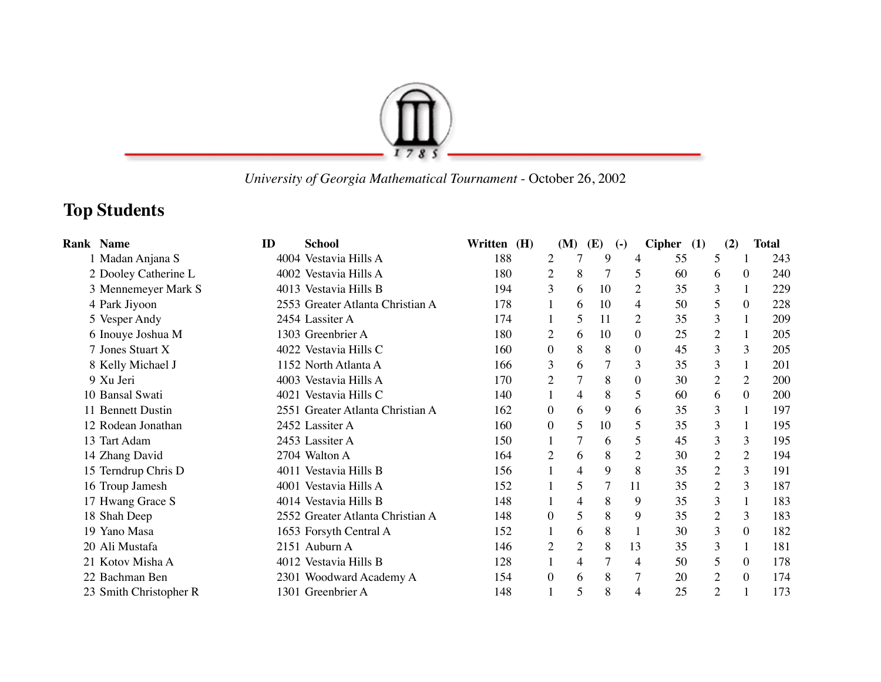

 *University of Georgia Mathematical Tournament* - October 26, 2002

## **Top Students**

| <b>Rank Name</b>       | ID | <b>School</b>                    | Written (H) |                | (M)            | <b>(E)</b> | $\left( -\right)$ | <b>Cipher</b> | (1)            | (2)            | <b>Total</b> |
|------------------------|----|----------------------------------|-------------|----------------|----------------|------------|-------------------|---------------|----------------|----------------|--------------|
| 1 Madan Anjana S       |    | 4004 Vestavia Hills A            | 188         | $\overline{2}$ | 7              | 9          | 4                 | 55            | 5              |                | 243          |
| 2 Dooley Catherine L   |    | 4002 Vestavia Hills A            | 180         | $\overline{2}$ | 8              |            | 5                 | 60            | 6              | $\theta$       | 240          |
| 3 Mennemeyer Mark S    |    | 4013 Vestavia Hills B            | 194         | 3              | 6              | 10         | 2                 | 35            | 3              |                | 229          |
| 4 Park Jiyoon          |    | 2553 Greater Atlanta Christian A | 178         |                | 6              | 10         | 4                 | 50            | 5              | $\theta$       | 228          |
| 5 Vesper Andy          |    | 2454 Lassiter A                  | 174         |                | 5              | 11         | 2                 | 35            | 3              |                | 209          |
| 6 Inouye Joshua M      |    | 1303 Greenbrier A                | 180         | $\overline{2}$ | 6              | 10         | $\theta$          | 25            | 2              | 1              | 205          |
| 7 Jones Stuart X       |    | 4022 Vestavia Hills C            | 160         | 0              | 8              | 8          | $\theta$          | 45            | 3              | 3              | 205          |
| 8 Kelly Michael J      |    | 1152 North Atlanta A             | 166         | 3              | 6              | 7          | 3                 | 35            | 3              | $\mathbf{1}$   | 201          |
| 9 Xu Jeri              |    | 4003 Vestavia Hills A            | 170         | $\overline{2}$ |                | 8          | $\theta$          | 30            | $\overline{2}$ | $\overline{2}$ | 200          |
| 10 Bansal Swati        |    | 4021 Vestavia Hills C            | 140         | 1              | 4              | 8          | 5                 | 60            | 6              | $\overline{0}$ | 200          |
| 11 Bennett Dustin      |    | 2551 Greater Atlanta Christian A | 162         | $\Omega$       | 6              | 9          | 6                 | 35            | 3              |                | 197          |
| 12 Rodean Jonathan     |    | 2452 Lassiter A                  | 160         | $\Omega$       | 5              | 10         | 5                 | 35            | 3              |                | 195          |
| 13 Tart Adam           |    | 2453 Lassiter A                  | 150         |                |                | 6          | 5                 | 45            | 3              | 3              | 195          |
| 14 Zhang David         |    | 2704 Walton A                    | 164         | $\overline{2}$ | 6              | 8          | $\overline{2}$    | 30            | $\overline{2}$ | 2              | 194          |
| 15 Terndrup Chris D    |    | 4011 Vestavia Hills B            | 156         |                | 4              | 9          | 8                 | 35            | $\overline{c}$ | 3              | 191          |
| 16 Troup Jamesh        |    | 4001 Vestavia Hills A            | 152         |                | 5              | 7          | 11                | 35            | $\overline{2}$ | 3              | 187          |
| 17 Hwang Grace S       |    | 4014 Vestavia Hills B            | 148         |                | 4              | 8          | 9                 | 35            | 3              | 1              | 183          |
| 18 Shah Deep           |    | 2552 Greater Atlanta Christian A | 148         | $\theta$       | 5              | 8          | 9                 | 35            | $\overline{2}$ | 3              | 183          |
| 19 Yano Masa           |    | 1653 Forsyth Central A           | 152         |                | 6              | 8          |                   | 30            | 3              | $\theta$       | 182          |
| 20 Ali Mustafa         |    | 2151 Auburn A                    | 146         | $\overline{2}$ | $\overline{2}$ | 8          | 13                | 35            | 3              | $\mathbf{1}$   | 181          |
| 21 Kotov Misha A       |    | 4012 Vestavia Hills B            | 128         |                | 4              |            | 4                 | 50            | 5              | $\theta$       | 178          |
| 22 Bachman Ben         |    | 2301 Woodward Academy A          | 154         | $\theta$       | 6              | 8          |                   | 20            | $\overline{c}$ | $\theta$       | 174          |
| 23 Smith Christopher R |    | 1301 Greenbrier A                | 148         |                | 5              | 8          | 4                 | 25            | $\overline{2}$ |                | 173          |